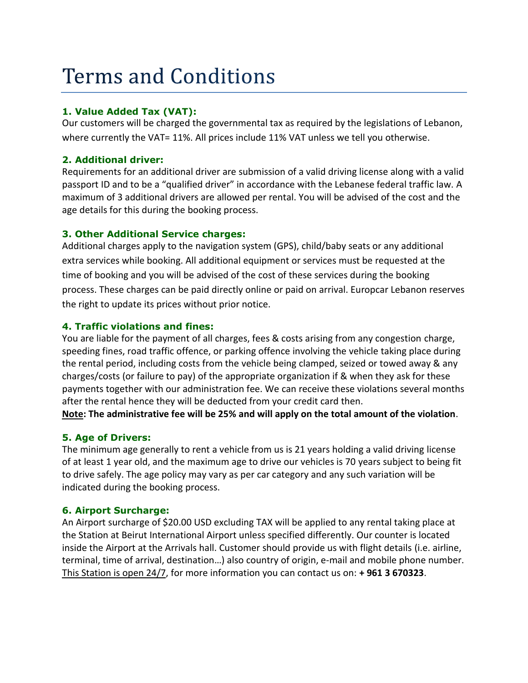# **Terms and Conditions**

## **1. Value Added Tax (VAT):**

Our customers will be charged the governmental tax as required by the legislations of Lebanon, where currently the VAT= 11%. All prices include 11% VAT unless we tell you otherwise.

## **2. Additional driver:**

Requirements for an additional driver are submission of a valid driving license along with a valid passport ID and to be a "qualified driver" in accordance with the Lebanese federal traffic law. A maximum of 3 additional drivers are allowed per rental. You will be advised of the cost and the age details for this during the booking process.

# **3. Other Additional Service charges:**

Additional charges apply to the navigation system (GPS), child/baby seats or any additional extra services while booking. All additional equipment or services must be requested at the time of booking and you will be advised of the cost of these services during the booking process. These charges can be paid directly online or paid on arrival. Europcar Lebanon reserves the right to update its prices without prior notice.

# **4. Traffic violations and fines:**

You are liable for the payment of all charges, fees & costs arising from any congestion charge, speeding fines, road traffic offence, or parking offence involving the vehicle taking place during the rental period, including costs from the vehicle being clamped, seized or towed away & any charges/costs (or failure to pay) of the appropriate organization if & when they ask for these payments together with our administration fee. We can receive these violations several months after the rental hence they will be deducted from your credit card then.

**Note: The administrative fee will be 25% and will apply on the total amount of the violation**.

# **5. Age of Drivers:**

The minimum age generally to rent a vehicle from us is 21 years holding a valid driving license of at least 1 year old, and the maximum age to drive our vehicles is 70 years subject to being fit to drive safely. The age policy may vary as per car category and any such variation will be indicated during the booking process.

## **6. Airport Surcharge:**

An Airport surcharge of \$20.00 USD excluding TAX will be applied to any rental taking place at the Station at Beirut International Airport unless specified differently. Our counter is located inside the Airport at the Arrivals hall. Customer should provide us with flight details (i.e. airline, terminal, time of arrival, destination…) also country of origin, e-mail and mobile phone number. This Station is open 24/7, for more information you can contact us on: **+ 961 3 670323**.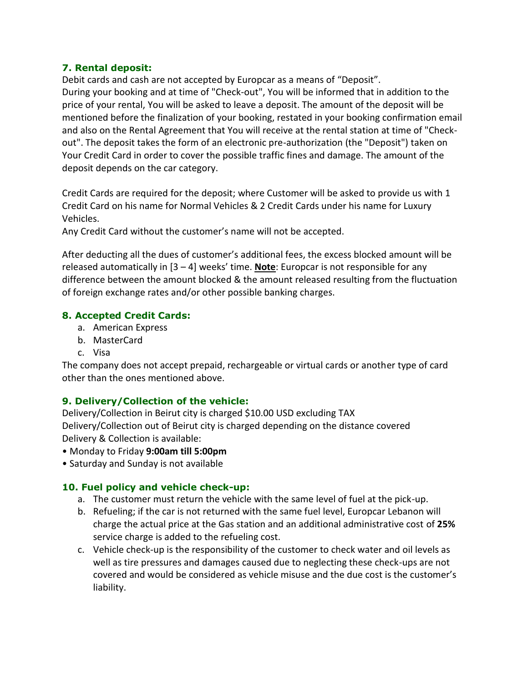#### **7. Rental deposit:**

Debit cards and cash are not accepted by Europcar as a means of "Deposit". During your booking and at time of "Check-out", You will be informed that in addition to the price of your rental, You will be asked to leave a deposit. The amount of the deposit will be mentioned before the finalization of your booking, restated in your booking confirmation email and also on the Rental Agreement that You will receive at the rental station at time of "Checkout". The deposit takes the form of an electronic pre-authorization (the "Deposit") taken on Your Credit Card in order to cover the possible traffic fines and damage. The amount of the deposit depends on the car category.

Credit Cards are required for the deposit; where Customer will be asked to provide us with 1 Credit Card on his name for Normal Vehicles & 2 Credit Cards under his name for Luxury Vehicles.

Any Credit Card without the customer's name will not be accepted.

After deducting all the dues of customer's additional fees, the excess blocked amount will be released automatically in [3 – 4] weeks' time. **Note**: Europcar is not responsible for any difference between the amount blocked & the amount released resulting from the fluctuation of foreign exchange rates and/or other possible banking charges.

## **8. Accepted Credit Cards:**

- a. American Express
- b. MasterCard
- c. Visa

The company does not accept prepaid, rechargeable or virtual cards or another type of card other than the ones mentioned above.

## **9. Delivery/Collection of the vehicle:**

Delivery/Collection in Beirut city is charged \$10.00 USD excluding TAX Delivery/Collection out of Beirut city is charged depending on the distance covered Delivery & Collection is available:

- Monday to Friday **9:00am till 5:00pm**
- Saturday and Sunday is not available

## **10. Fuel policy and vehicle check-up:**

- a. The customer must return the vehicle with the same level of fuel at the pick-up.
- b. Refueling; if the car is not returned with the same fuel level, Europcar Lebanon will charge the actual price at the Gas station and an additional administrative cost of **25%** service charge is added to the refueling cost.
- c. Vehicle check-up is the responsibility of the customer to check water and oil levels as well as tire pressures and damages caused due to neglecting these check-ups are not covered and would be considered as vehicle misuse and the due cost is the customer's liability.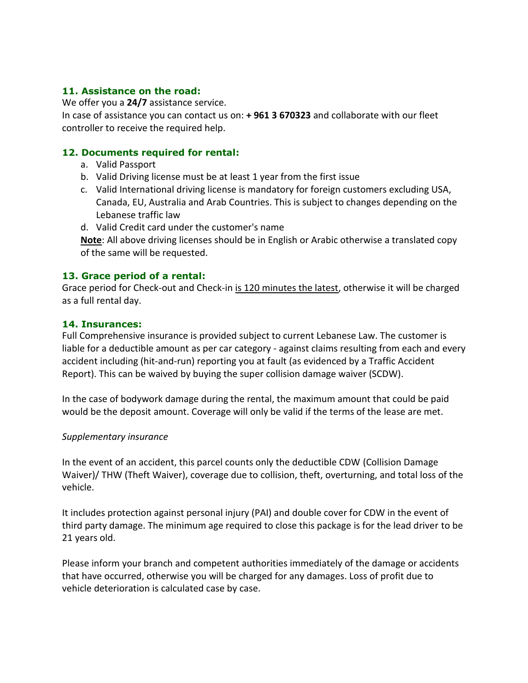#### **11. Assistance on the road:**

We offer you a **24/7** assistance service.

In case of assistance you can contact us on: **+ 961 3 670323** and collaborate with our fleet controller to receive the required help.

#### **12. Documents required for rental:**

- a. Valid Passport
- b. Valid Driving license must be at least 1 year from the first issue
- c. Valid International driving license is mandatory for foreign customers excluding USA, Canada, EU, Australia and Arab Countries. This is subject to changes depending on the Lebanese traffic law
- d. Valid Credit card under the customer's name

**Note**: All above driving licenses should be in English or Arabic otherwise a translated copy of the same will be requested.

#### **13. Grace period of a rental:**

Grace period for Check-out and Check-in is 120 minutes the latest, otherwise it will be charged as a full rental day.

#### **14. Insurances:**

Full Comprehensive insurance is provided subject to current Lebanese Law. The customer is liable for a deductible amount as per car category - against claims resulting from each and every accident including (hit-and-run) reporting you at fault (as evidenced by a Traffic Accident Report). This can be waived by buying the super collision damage waiver (SCDW).

In the case of bodywork damage during the rental, the maximum amount that could be paid would be the deposit amount. Coverage will only be valid if the terms of the lease are met.

#### *Supplementary insurance*

In the event of an accident, this parcel counts only the deductible CDW (Collision Damage Waiver)/ THW (Theft Waiver), coverage due to collision, theft, overturning, and total loss of the vehicle.

It includes protection against personal injury (PAI) and double cover for CDW in the event of third party damage. The minimum age required to close this package is for the lead driver to be 21 years old.

Please inform your branch and competent authorities immediately of the damage or accidents that have occurred, otherwise you will be charged for any damages. Loss of profit due to vehicle deterioration is calculated case by case.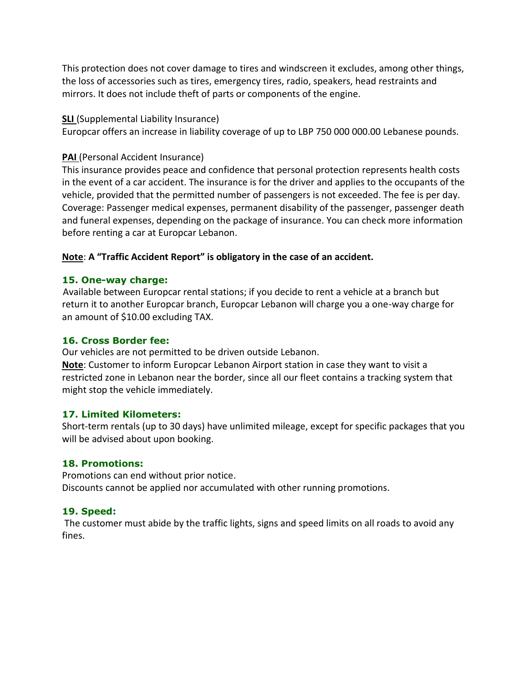This protection does not cover damage to tires and windscreen it excludes, among other things, the loss of accessories such as tires, emergency tires, radio, speakers, head restraints and mirrors. It does not include theft of parts or components of the engine.

#### **SLI** (Supplemental Liability Insurance)

Europcar offers an increase in liability coverage of up to LBP 750 000 000.00 Lebanese pounds.

#### **PAI** (Personal Accident Insurance)

This insurance provides peace and confidence that personal protection represents health costs in the event of a car accident. The insurance is for the driver and applies to the occupants of the vehicle, provided that the permitted number of passengers is not exceeded. The fee is per day. Coverage: Passenger medical expenses, permanent disability of the passenger, passenger death and funeral expenses, depending on the package of insurance. You can check more information before renting a car at Europcar Lebanon.

#### **Note**: **A "Traffic Accident Report" is obligatory in the case of an accident.**

#### **15. One-way charge:**

 Available between Europcar rental stations; if you decide to rent a vehicle at a branch but return it to another Europcar branch, Europcar Lebanon will charge you a one-way charge for an amount of \$10.00 excluding TAX.

#### **16. Cross Border fee:**

Our vehicles are not permitted to be driven outside Lebanon.

**Note**: Customer to inform Europcar Lebanon Airport station in case they want to visit a restricted zone in Lebanon near the border, since all our fleet contains a tracking system that might stop the vehicle immediately.

#### **17. Limited Kilometers:**

Short-term rentals (up to 30 days) have unlimited mileage, except for specific packages that you will be advised about upon booking.

#### **18. Promotions:**

Promotions can end without prior notice. Discounts cannot be applied nor accumulated with other running promotions.

## **19. Speed:**

The customer must abide by the traffic lights, signs and speed limits on all roads to avoid any fines.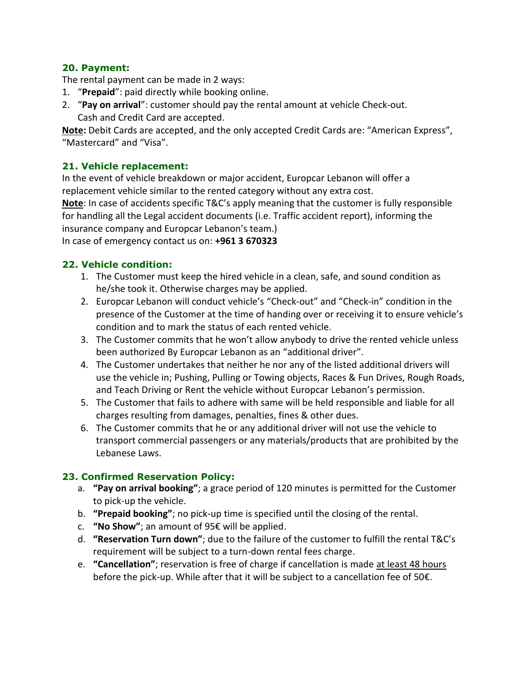#### **20. Payment:**

The rental payment can be made in 2 ways:

- 1. "**Prepaid**": paid directly while booking online.
- 2. "**Pay on arrival**": customer should pay the rental amount at vehicle Check-out. Cash and Credit Card are accepted.

**Note:** Debit Cards are accepted, and the only accepted Credit Cards are: "American Express", "Mastercard" and "Visa".

## **21. Vehicle replacement:**

In the event of vehicle breakdown or major accident, Europcar Lebanon will offer a replacement vehicle similar to the rented category without any extra cost.

**Note**: In case of accidents specific T&C's apply meaning that the customer is fully responsible for handling all the Legal accident documents (i.e. Traffic accident report), informing the insurance company and Europcar Lebanon's team.)

In case of emergency contact us on: **+961 3 670323**

#### **22. Vehicle condition:**

- 1. The Customer must keep the hired vehicle in a clean, safe, and sound condition as he/she took it. Otherwise charges may be applied.
- 2. Europcar Lebanon will conduct vehicle's "Check-out" and "Check-in" condition in the presence of the Customer at the time of handing over or receiving it to ensure vehicle's condition and to mark the status of each rented vehicle.
- 3. The Customer commits that he won't allow anybody to drive the rented vehicle unless been authorized By Europcar Lebanon as an "additional driver".
- 4. The Customer undertakes that neither he nor any of the listed additional drivers will use the vehicle in; Pushing, Pulling or Towing objects, Races & Fun Drives, Rough Roads, and Teach Driving or Rent the vehicle without Europcar Lebanon's permission.
- 5. The Customer that fails to adhere with same will be held responsible and liable for all charges resulting from damages, penalties, fines & other dues.
- 6. The Customer commits that he or any additional driver will not use the vehicle to transport commercial passengers or any materials/products that are prohibited by the Lebanese Laws.

## **23. Confirmed Reservation Policy:**

- a. **"Pay on arrival booking"**; a grace period of 120 minutes is permitted for the Customer to pick-up the vehicle.
- b. **"Prepaid booking"**; no pick-up time is specified until the closing of the rental.
- c. **"No Show"**; an amount of 95€ will be applied.
- d. **"Reservation Turn down"**; due to the failure of the customer to fulfill the rental T&C's requirement will be subject to a turn-down rental fees charge.
- e. **"Cancellation"**; reservation is free of charge if cancellation is made at least 48 hours before the pick-up. While after that it will be subject to a cancellation fee of 50€.